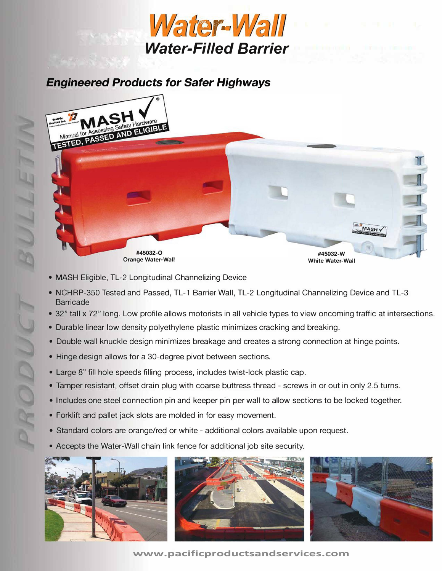

## *Engineered Products for Safer Highways*



- MASH Eligible, TL-2 Longitudinal Channelizing Device
- NCHRP-350 Tested and Passed, TL-1 Barrier Wall, TL-2 Longitudinal Channelizing Device and TL-3 **Barricade**
- 32" tall x 72" long. Low profile allows motorists in all vehicle types to view oncoming traffic at intersections.
- Durable linear low density polyethylene plastic minimizes cracking and breaking.
- Double wall knuckle design minimizes breakage and creates a strong connection at hinge points.
- Hinge design allows for a 30-degree pivot between sections.
- Large 8" fill hole speeds filling process, includes twist-lock plastic cap.
- Tamper resistant, offset drain plug with coarse buttress thread screws in or out in only 2.5 turns.
- Includes one steel connection pin and keeper pin per wall to allow sections to be locked together.
- Forklift and pallet jack slots are molded in for easy movement.
- Standard colors are orange/red or white additional colors available upon request.
- Accepts the Water-Wall chain link fence for additional job site security.



**www.pacificproductsandservices.com**